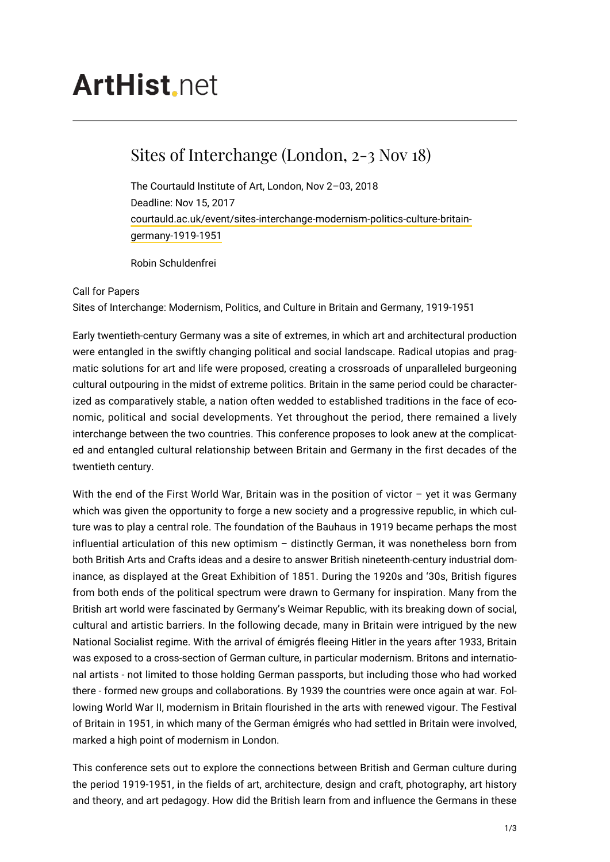## **ArtHist**, net

## Sites of Interchange (London, 2-3 Nov 18)

The Courtauld Institute of Art, London, Nov 2–03, 2018 Deadline: Nov 15, 2017 [courtauld.ac.uk/event/sites-interchange-modernism-politics-culture-britain](http://courtauld.ac.uk/event/sites-interchange-modernism-politics-culture-britain-germany-1919-1951)[germany-1919-1951](http://courtauld.ac.uk/event/sites-interchange-modernism-politics-culture-britain-germany-1919-1951)

Robin Schuldenfrei

## Call for Papers

Sites of Interchange: Modernism, Politics, and Culture in Britain and Germany, 1919-1951

Early twentieth-century Germany was a site of extremes, in which art and architectural production were entangled in the swiftly changing political and social landscape. Radical utopias and pragmatic solutions for art and life were proposed, creating a crossroads of unparalleled burgeoning cultural outpouring in the midst of extreme politics. Britain in the same period could be characterized as comparatively stable, a nation often wedded to established traditions in the face of economic, political and social developments. Yet throughout the period, there remained a lively interchange between the two countries. This conference proposes to look anew at the complicated and entangled cultural relationship between Britain and Germany in the first decades of the twentieth century.

With the end of the First World War, Britain was in the position of victor  $-$  yet it was Germany which was given the opportunity to forge a new society and a progressive republic, in which culture was to play a central role. The foundation of the Bauhaus in 1919 became perhaps the most influential articulation of this new optimism – distinctly German, it was nonetheless born from both British Arts and Crafts ideas and a desire to answer British nineteenth-century industrial dominance, as displayed at the Great Exhibition of 1851. During the 1920s and '30s, British figures from both ends of the political spectrum were drawn to Germany for inspiration. Many from the British art world were fascinated by Germany's Weimar Republic, with its breaking down of social, cultural and artistic barriers. In the following decade, many in Britain were intrigued by the new National Socialist regime. With the arrival of émigrés fleeing Hitler in the years after 1933, Britain was exposed to a cross-section of German culture, in particular modernism. Britons and international artists - not limited to those holding German passports, but including those who had worked there - formed new groups and collaborations. By 1939 the countries were once again at war. Following World War II, modernism in Britain flourished in the arts with renewed vigour. The Festival of Britain in 1951, in which many of the German émigrés who had settled in Britain were involved, marked a high point of modernism in London.

This conference sets out to explore the connections between British and German culture during the period 1919-1951, in the fields of art, architecture, design and craft, photography, art history and theory, and art pedagogy. How did the British learn from and influence the Germans in these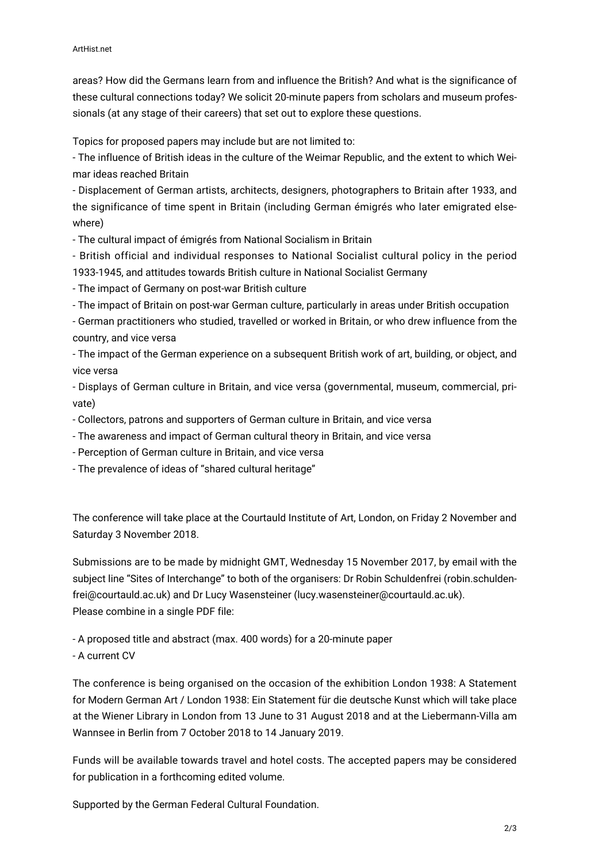areas? How did the Germans learn from and influence the British? And what is the significance of these cultural connections today? We solicit 20-minute papers from scholars and museum professionals (at any stage of their careers) that set out to explore these questions.

Topics for proposed papers may include but are not limited to:

- The influence of British ideas in the culture of the Weimar Republic, and the extent to which Weimar ideas reached Britain

- Displacement of German artists, architects, designers, photographers to Britain after 1933, and the significance of time spent in Britain (including German émigrés who later emigrated elsewhere)

- The cultural impact of émigrés from National Socialism in Britain

- British official and individual responses to National Socialist cultural policy in the period 1933-1945, and attitudes towards British culture in National Socialist Germany

- The impact of Germany on post-war British culture

- The impact of Britain on post-war German culture, particularly in areas under British occupation

- German practitioners who studied, travelled or worked in Britain, or who drew influence from the country, and vice versa

- The impact of the German experience on a subsequent British work of art, building, or object, and vice versa

- Displays of German culture in Britain, and vice versa (governmental, museum, commercial, private)

- Collectors, patrons and supporters of German culture in Britain, and vice versa

- The awareness and impact of German cultural theory in Britain, and vice versa
- Perception of German culture in Britain, and vice versa

- The prevalence of ideas of "shared cultural heritage"

The conference will take place at the Courtauld Institute of Art, London, on Friday 2 November and Saturday 3 November 2018.

Submissions are to be made by midnight GMT, Wednesday 15 November 2017, by email with the subject line "Sites of Interchange" to both of the organisers: Dr Robin Schuldenfrei (robin.schuldenfrei@courtauld.ac.uk) and Dr Lucy Wasensteiner (lucy.wasensteiner@courtauld.ac.uk). Please combine in a single PDF file:

- A proposed title and abstract (max. 400 words) for a 20-minute paper

- A current CV

The conference is being organised on the occasion of the exhibition London 1938: A Statement for Modern German Art / London 1938: Ein Statement für die deutsche Kunst which will take place at the Wiener Library in London from 13 June to 31 August 2018 and at the Liebermann-Villa am Wannsee in Berlin from 7 October 2018 to 14 January 2019.

Funds will be available towards travel and hotel costs. The accepted papers may be considered for publication in a forthcoming edited volume.

Supported by the German Federal Cultural Foundation.